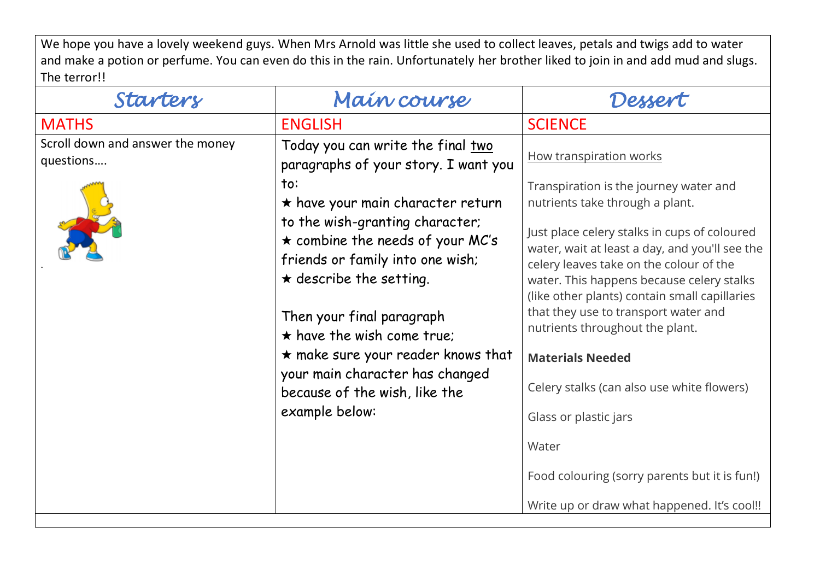We hope you have a lovely weekend guys. When Mrs Arnold was little she used to collect leaves, petals and twigs add to water and make a potion or perfume. You can even do this in the rain. Unfortunately her brother liked to join in and add mud and slugs. The terror!!

| Starters                                      | Main course                                                                                                 | Dessert                                                                                                                                                                                 |
|-----------------------------------------------|-------------------------------------------------------------------------------------------------------------|-----------------------------------------------------------------------------------------------------------------------------------------------------------------------------------------|
| <b>MATHS</b>                                  | <b>ENGLISH</b>                                                                                              | <b>SCIENCE</b>                                                                                                                                                                          |
| Scroll down and answer the money<br>questions | Today you can write the final two<br>paragraphs of your story. I want you                                   | How transpiration works                                                                                                                                                                 |
|                                               | $\mathsf{to}$ :<br>$\star$ have your main character return<br>to the wish-granting character;               | Transpiration is the journey water and<br>nutrients take through a plant.<br>Just place celery stalks in cups of coloured                                                               |
|                                               | $\star$ combine the needs of your MC's<br>friends or family into one wish;<br>$\star$ describe the setting. | water, wait at least a day, and you'll see the<br>celery leaves take on the colour of the<br>water. This happens because celery stalks<br>(like other plants) contain small capillaries |
|                                               | Then your final paragraph<br>$\star$ have the wish come true;                                               | that they use to transport water and<br>nutrients throughout the plant.                                                                                                                 |
|                                               | $\star$ make sure your reader knows that                                                                    | <b>Materials Needed</b>                                                                                                                                                                 |
|                                               | your main character has changed<br>because of the wish, like the                                            | Celery stalks (can also use white flowers)                                                                                                                                              |
|                                               | example below:                                                                                              | Glass or plastic jars                                                                                                                                                                   |
|                                               |                                                                                                             | Water                                                                                                                                                                                   |
|                                               |                                                                                                             | Food colouring (sorry parents but it is fun!)                                                                                                                                           |
|                                               |                                                                                                             | Write up or draw what happened. It's cool!!                                                                                                                                             |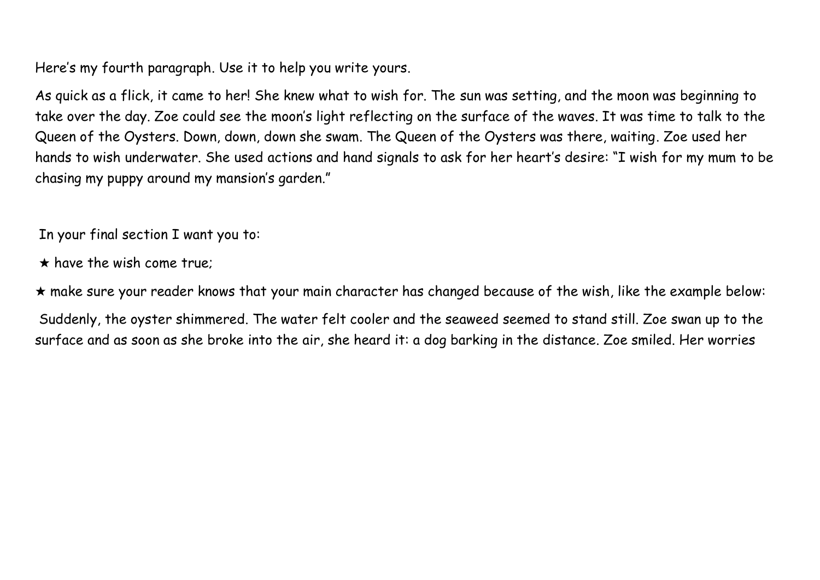Here's my fourth paragraph. Use it to help you write yours.

As quick as a flick, it came to her! She knew what to wish for. The sun was setting, and the moon was beginning to take over the day. Zoe could see the moon's light reflecting on the surface of the waves. It was time to talk to the Queen of the Oysters. Down, down, down she swam. The Queen of the Oysters was there, waiting. Zoe used her hands to wish underwater. She used actions and hand signals to ask for her heart's desire: "I wish for my mum to be chasing my puppy around my mansion's garden."

In your final section I want you to:

- $\star$  have the wish come true;
- ★ make sure your reader knows that your main character has changed because of the wish, like the example below:

Suddenly, the oyster shimmered. The water felt cooler and the seaweed seemed to stand still. Zoe swan up to the surface and as soon as she broke into the air, she heard it: a dog barking in the distance. Zoe smiled. Her worries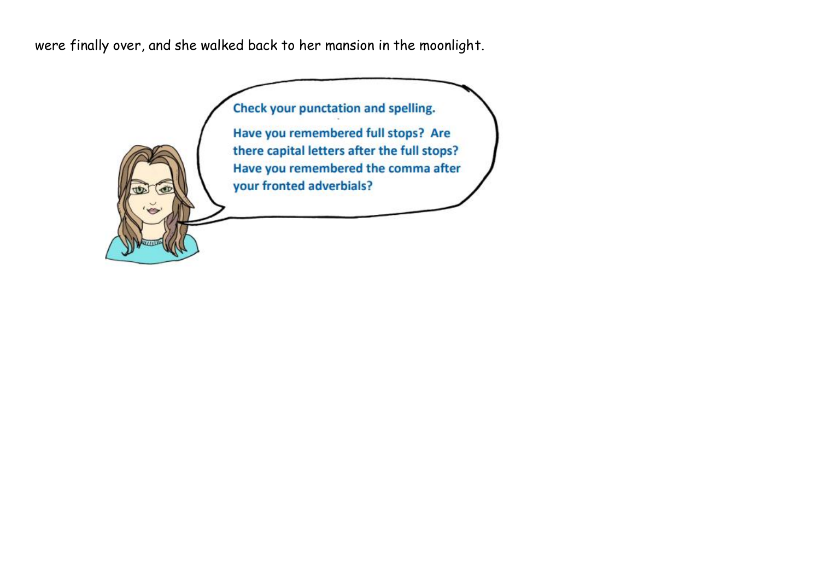were finally over, and she walked back to her mansion in the moonlight.

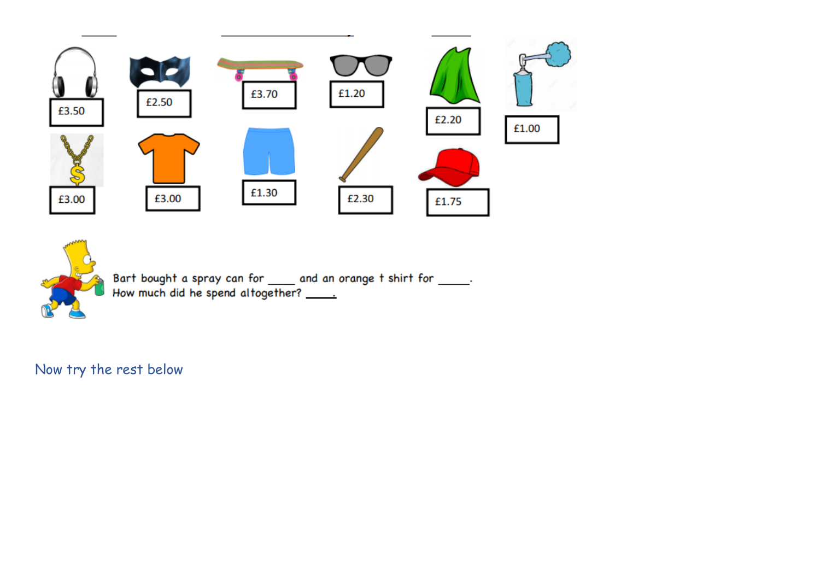



Bart bought a spray can for \_\_\_\_\_ and an orange t shirt for \_\_\_\_\_\_.<br>How much did he spend altogether? \_\_\_\_\_\_

Now try the rest below